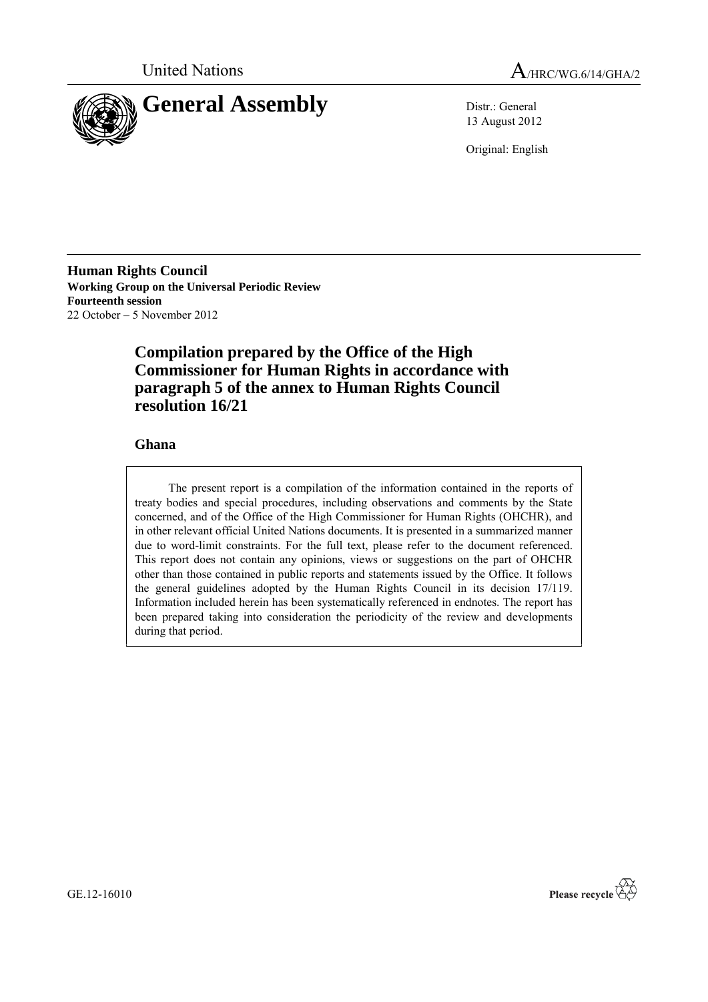



13 August 2012

Original: English

**Human Rights Council Working Group on the Universal Periodic Review Fourteenth session** 22 October – 5 November 2012

## **Compilation prepared by the Office of the High Commissioner for Human Rights in accordance with paragraph 5 of the annex to Human Rights Council resolution 16/21**

## **Ghana**

The present report is a compilation of the information contained in the reports of treaty bodies and special procedures, including observations and comments by the State concerned, and of the Office of the High Commissioner for Human Rights (OHCHR), and in other relevant official United Nations documents. It is presented in a summarized manner due to word-limit constraints. For the full text, please refer to the document referenced. This report does not contain any opinions, views or suggestions on the part of OHCHR other than those contained in public reports and statements issued by the Office. It follows the general guidelines adopted by the Human Rights Council in its decision 17/119. Information included herein has been systematically referenced in endnotes. The report has been prepared taking into consideration the periodicity of the review and developments during that period.



GE.12-16010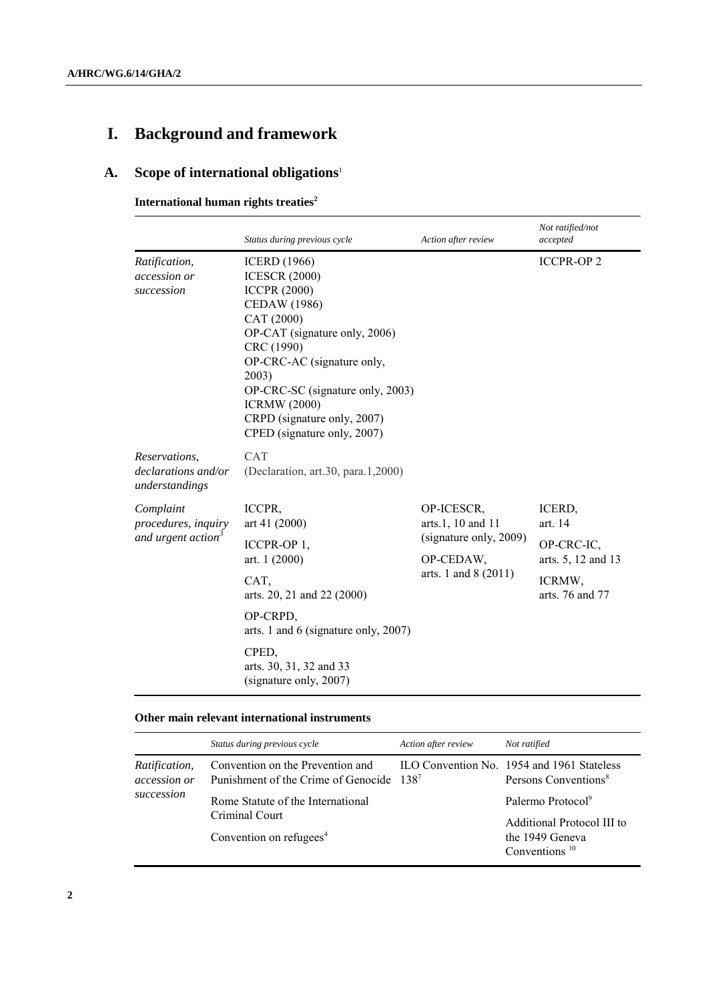# **I. Background and framework**

## **A. Scope of international obligations**<sup>1</sup>

### **International human rights treaties<sup>2</sup>**

|                                                                    | Status during previous cycle                                                                                                                                                                                                                                                                                           | Action after review                                                                            | Not ratified/not<br>accepted                                                       |
|--------------------------------------------------------------------|------------------------------------------------------------------------------------------------------------------------------------------------------------------------------------------------------------------------------------------------------------------------------------------------------------------------|------------------------------------------------------------------------------------------------|------------------------------------------------------------------------------------|
| Ratification,<br>accession or<br>succession                        | <b>ICERD</b> (1966)<br><b>ICESCR (2000)</b><br><b>ICCPR (2000)</b><br><b>CEDAW</b> (1986)<br>CAT (2000)<br>OP-CAT (signature only, 2006)<br>CRC (1990)<br>OP-CRC-AC (signature only,<br>2003)<br>OP-CRC-SC (signature only, 2003)<br><b>ICRMW</b> (2000)<br>CRPD (signature only, 2007)<br>CPED (signature only, 2007) |                                                                                                | <b>ICCPR-OP2</b>                                                                   |
| Reservations.<br><i>declarations and/or</i><br>understandings      | <b>CAT</b><br>(Declaration, art.30, para.1,2000)                                                                                                                                                                                                                                                                       |                                                                                                |                                                                                    |
| Complaint<br>procedures, inquiry<br>and urgent action <sup>3</sup> | ICCPR,<br>art 41 (2000)<br>ICCPR-OP 1,<br>art. 1 (2000)<br>CAT,<br>arts. 20, 21 and 22 (2000)<br>OP-CRPD,<br>arts. 1 and 6 (signature only, 2007)<br>CPED,<br>arts. 30, 31, 32 and 33<br>(signature only, 2007)                                                                                                        | OP-ICESCR,<br>arts.1, 10 and 11<br>(signature only, 2009)<br>OP-CEDAW,<br>arts. 1 and 8 (2011) | ICERD,<br>art. 14<br>OP-CRC-IC,<br>arts. 5, 12 and 13<br>ICRMW,<br>arts. 76 and 77 |

#### **Other main relevant international instruments**

|                                      | Status during previous cycle                                                             | Action after review | Not ratified                                                                   |
|--------------------------------------|------------------------------------------------------------------------------------------|---------------------|--------------------------------------------------------------------------------|
| <i>Ratification,</i><br>accession or | Convention on the Prevention and<br>Punishment of the Crime of Genocide 138 <sup>7</sup> |                     | ILO Convention No. 1954 and 1961 Stateless<br>Persons Conventions <sup>8</sup> |
| succession                           | Rome Statute of the International                                                        |                     | Palermo Protocol <sup>9</sup>                                                  |
|                                      | Criminal Court<br>Convention on refugees <sup>4</sup>                                    |                     | Additional Protocol III to<br>the 1949 Geneva<br>Conventions $10$              |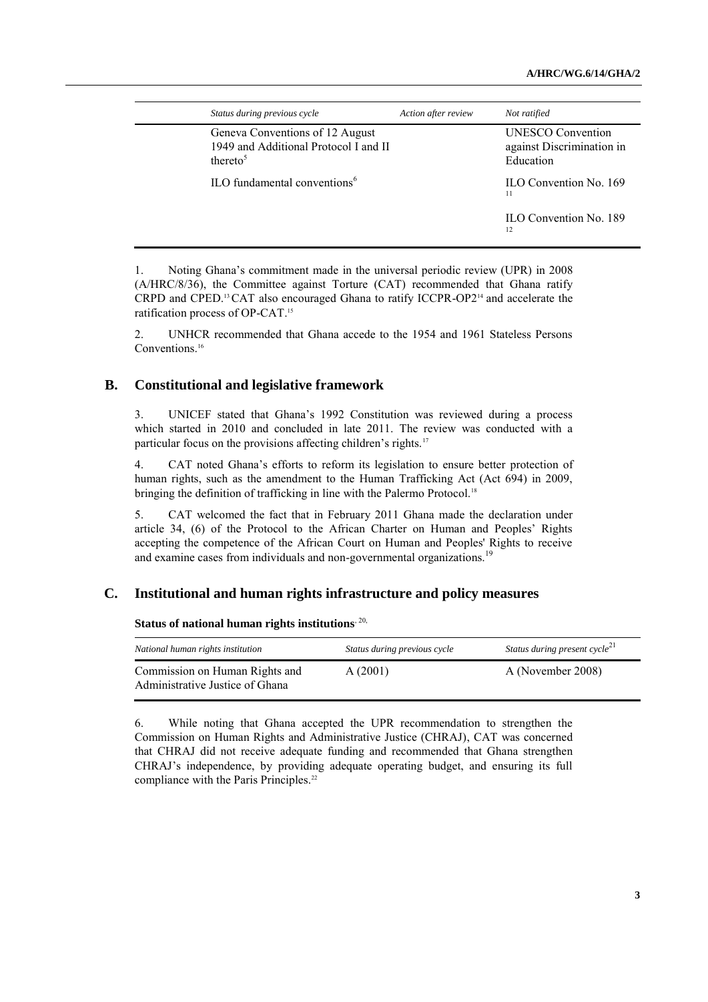| Status during previous cycle                                                                     | Action after review | Not ratified                                                       |
|--------------------------------------------------------------------------------------------------|---------------------|--------------------------------------------------------------------|
| Geneva Conventions of 12 August<br>1949 and Additional Protocol I and II<br>thereto <sup>5</sup> |                     | <b>UNESCO</b> Convention<br>against Discrimination in<br>Education |
| ILO fundamental conventions <sup>6</sup>                                                         |                     | ILO Convention No. 169<br>11                                       |
|                                                                                                  |                     | <b>ILO Convention No. 189</b><br>12                                |

1. Noting Ghana's commitment made in the universal periodic review (UPR) in 2008 (A/HRC/8/36), the Committee against Torture (CAT) recommended that Ghana ratify CRPD and CPED.13CAT also encouraged Ghana to ratify ICCPR-OP2<sup>14</sup> and accelerate the ratification process of OP-CAT.<sup>15</sup>

2. UNHCR recommended that Ghana accede to the 1954 and 1961 Stateless Persons Conventions<sup>16</sup>

### **B. Constitutional and legislative framework**

3. UNICEF stated that Ghana's 1992 Constitution was reviewed during a process which started in 2010 and concluded in late 2011. The review was conducted with a particular focus on the provisions affecting children's rights.<sup>17</sup>

4. CAT noted Ghana's efforts to reform its legislation to ensure better protection of human rights, such as the amendment to the Human Trafficking Act (Act 694) in 2009, bringing the definition of trafficking in line with the Palermo Protocol.<sup>18</sup>

5. CAT welcomed the fact that in February 2011 Ghana made the declaration under article 34, (6) of the Protocol to the African Charter on Human and Peoples' Rights accepting the competence of the African Court on Human and Peoples' Rights to receive and examine cases from individuals and non-governmental organizations.<sup>19</sup>

#### **C. Institutional and human rights infrastructure and policy measures**

#### **Status of national human rights institutions**, 20,

| National human rights institution                                 | Status during previous cycle | Status during present cycle <sup>21</sup> |
|-------------------------------------------------------------------|------------------------------|-------------------------------------------|
| Commission on Human Rights and<br>Administrative Justice of Ghana | A(2001)                      | A (November 2008)                         |

6. While noting that Ghana accepted the UPR recommendation to strengthen the Commission on Human Rights and Administrative Justice (CHRAJ), CAT was concerned that CHRAJ did not receive adequate funding and recommended that Ghana strengthen CHRAJ's independence, by providing adequate operating budget, and ensuring its full compliance with the Paris Principles.<sup>22</sup>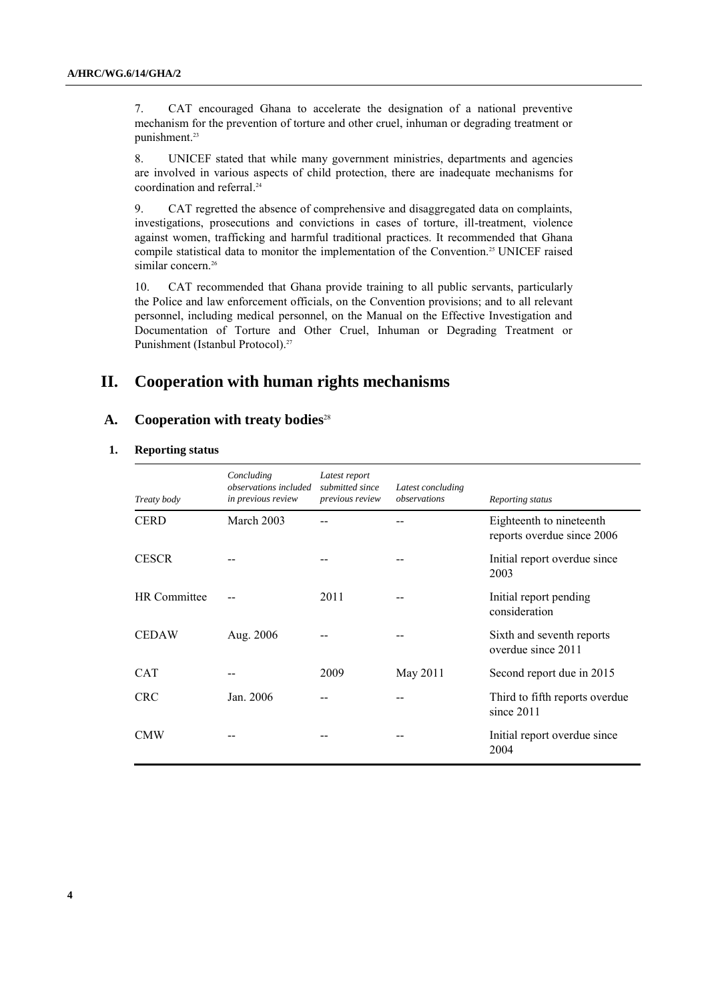7. CAT encouraged Ghana to accelerate the designation of a national preventive mechanism for the prevention of torture and other cruel, inhuman or degrading treatment or punishment. 23

8. UNICEF stated that while many government ministries, departments and agencies are involved in various aspects of child protection, there are inadequate mechanisms for coordination and referral. 24

9. CAT regretted the absence of comprehensive and disaggregated data on complaints, investigations, prosecutions and convictions in cases of torture, ill-treatment, violence against women, trafficking and harmful traditional practices. It recommended that Ghana compile statistical data to monitor the implementation of the Convention. <sup>25</sup> UNICEF raised similar concern.<sup>26</sup>

10. CAT recommended that Ghana provide training to all public servants, particularly the Police and law enforcement officials, on the Convention provisions; and to all relevant personnel, including medical personnel, on the Manual on the Effective Investigation and Documentation of Torture and Other Cruel, Inhuman or Degrading Treatment or Punishment (Istanbul Protocol).<sup>27</sup>

## **II. Cooperation with human rights mechanisms**

### **A. Cooperation with treaty bodies**<sup>28</sup>

#### **1. Reporting status**

| Treaty body         | Concluding<br><i>observations included</i><br>in previous review | Latest report<br>submitted since<br>previous review | Latest concluding<br>observations | Reporting status                                       |
|---------------------|------------------------------------------------------------------|-----------------------------------------------------|-----------------------------------|--------------------------------------------------------|
| <b>CERD</b>         | March 2003                                                       |                                                     |                                   | Eighteenth to nineteenth<br>reports overdue since 2006 |
| <b>CESCR</b>        |                                                                  |                                                     |                                   | Initial report overdue since<br>2003                   |
| <b>HR</b> Committee |                                                                  | 2011                                                |                                   | Initial report pending<br>consideration                |
| <b>CEDAW</b>        | Aug. 2006                                                        |                                                     |                                   | Sixth and seventh reports<br>overdue since 2011        |
| <b>CAT</b>          |                                                                  | 2009                                                | May 2011                          | Second report due in 2015                              |
| <b>CRC</b>          | Jan. 2006                                                        |                                                     |                                   | Third to fifth reports overdue<br>since $2011$         |
| <b>CMW</b>          |                                                                  |                                                     |                                   | Initial report overdue since<br>2004                   |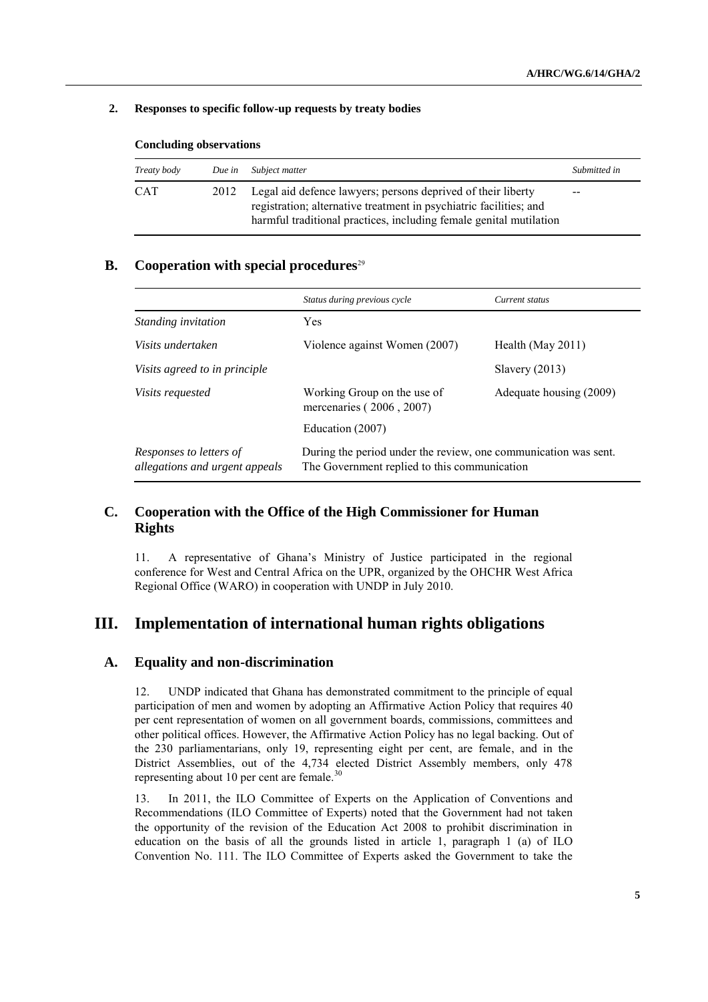#### **2. Responses to specific follow-up requests by treaty bodies**

| Treaty body | Due in | Subject matter                                                                                                                                                                                           | Submitted in |
|-------------|--------|----------------------------------------------------------------------------------------------------------------------------------------------------------------------------------------------------------|--------------|
| <b>CAT</b>  | 2012   | Legal aid defence lawyers; persons deprived of their liberty<br>registration; alternative treatment in psychiatric facilities; and<br>harmful traditional practices, including female genital mutilation | $- -$        |

#### **Concluding observations**

#### **B. Cooperation with special procedures**<sup>29</sup>

|                                                           | Status during previous cycle                                                                                    | Current status          |
|-----------------------------------------------------------|-----------------------------------------------------------------------------------------------------------------|-------------------------|
| <i>Standing invitation</i>                                | <b>Yes</b>                                                                                                      |                         |
| Visits undertaken                                         | Violence against Women (2007)                                                                                   | Health (May $2011$ )    |
| Visits agreed to in principle                             |                                                                                                                 | Slavery(2013)           |
| <i>Visits requested</i>                                   | Working Group on the use of<br>mercenaries (2006, 2007)                                                         | Adequate housing (2009) |
|                                                           | Education (2007)                                                                                                |                         |
| Responses to letters of<br>allegations and urgent appeals | During the period under the review, one communication was sent.<br>The Government replied to this communication |                         |

## **C. Cooperation with the Office of the High Commissioner for Human Rights**

11. A representative of Ghana's Ministry of Justice participated in the regional conference for West and Central Africa on the UPR, organized by the OHCHR West Africa Regional Office (WARO) in cooperation with UNDP in July 2010.

## **III. Implementation of international human rights obligations**

#### **A. Equality and non-discrimination**

12. UNDP indicated that Ghana has demonstrated commitment to the principle of equal participation of men and women by adopting an Affirmative Action Policy that requires 40 per cent representation of women on all government boards, commissions, committees and other political offices. However, the Affirmative Action Policy has no legal backing. Out of the 230 parliamentarians, only 19, representing eight per cent, are female, and in the District Assemblies, out of the 4,734 elected District Assembly members, only 478 representing about 10 per cent are female.<sup>30</sup>

13. In 2011, the ILO Committee of Experts on the Application of Conventions and Recommendations (ILO Committee of Experts) noted that the Government had not taken the opportunity of the revision of the Education Act 2008 to prohibit discrimination in education on the basis of all the grounds listed in article 1, paragraph 1 (a) of ILO Convention No. 111. The ILO Committee of Experts asked the Government to take the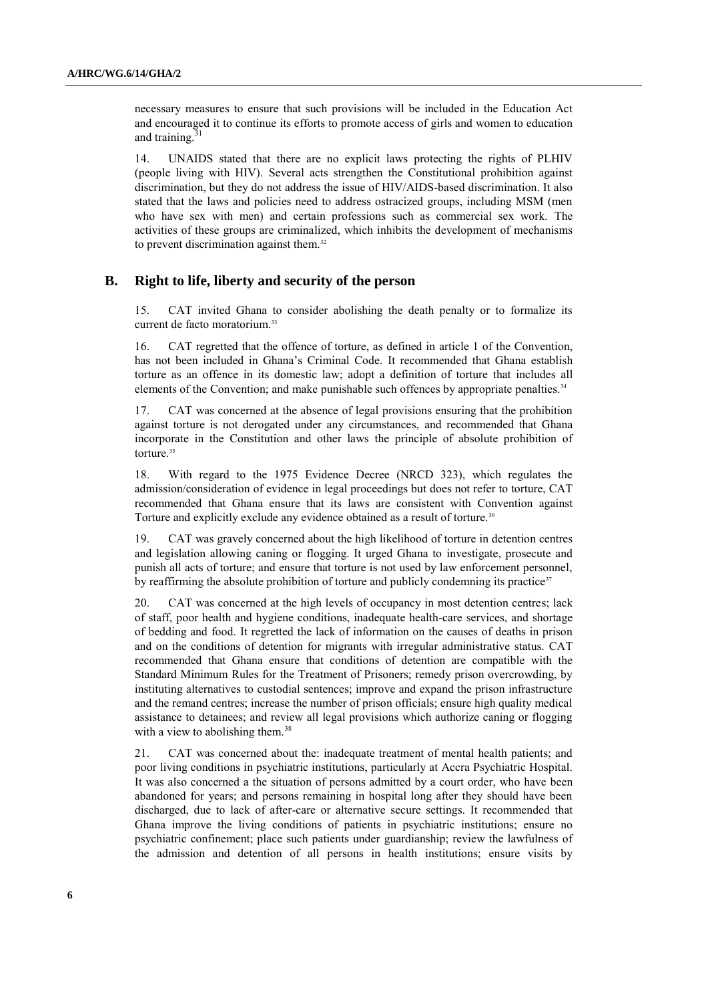necessary measures to ensure that such provisions will be included in the Education Act and encouraged it to continue its efforts to promote access of girls and women to education and training. 31

14. UNAIDS stated that there are no explicit laws protecting the rights of PLHIV (people living with HIV). Several acts strengthen the Constitutional prohibition against discrimination, but they do not address the issue of HIV/AIDS-based discrimination. It also stated that the laws and policies need to address ostracized groups, including MSM (men who have sex with men) and certain professions such as commercial sex work. The activities of these groups are criminalized, which inhibits the development of mechanisms to prevent discrimination against them.<sup>32</sup>

### **B. Right to life, liberty and security of the person**

15. CAT invited Ghana to consider abolishing the death penalty or to formalize its current de facto moratorium.<sup>33</sup>

16. CAT regretted that the offence of torture, as defined in article 1 of the Convention, has not been included in Ghana's Criminal Code. It recommended that Ghana establish torture as an offence in its domestic law; adopt a definition of torture that includes all elements of the Convention; and make punishable such offences by appropriate penalties.<sup>34</sup>

17. CAT was concerned at the absence of legal provisions ensuring that the prohibition against torture is not derogated under any circumstances, and recommended that Ghana incorporate in the Constitution and other laws the principle of absolute prohibition of torture.<sup>35</sup>

18. With regard to the 1975 Evidence Decree (NRCD 323), which regulates the admission/consideration of evidence in legal proceedings but does not refer to torture, CAT recommended that Ghana ensure that its laws are consistent with Convention against Torture and explicitly exclude any evidence obtained as a result of torture.<sup>36</sup>

19. CAT was gravely concerned about the high likelihood of torture in detention centres and legislation allowing caning or flogging. It urged Ghana to investigate, prosecute and punish all acts of torture; and ensure that torture is not used by law enforcement personnel, by reaffirming the absolute prohibition of torture and publicly condemning its practice<sup>37</sup>

20. CAT was concerned at the high levels of occupancy in most detention centres; lack of staff, poor health and hygiene conditions, inadequate health-care services, and shortage of bedding and food. It regretted the lack of information on the causes of deaths in prison and on the conditions of detention for migrants with irregular administrative status. CAT recommended that Ghana ensure that conditions of detention are compatible with the Standard Minimum Rules for the Treatment of Prisoners; remedy prison overcrowding, by instituting alternatives to custodial sentences; improve and expand the prison infrastructure and the remand centres; increase the number of prison officials; ensure high quality medical assistance to detainees; and review all legal provisions which authorize caning or flogging with a view to abolishing them.<sup>38</sup>

21. CAT was concerned about the: inadequate treatment of mental health patients; and poor living conditions in psychiatric institutions, particularly at Accra Psychiatric Hospital. It was also concerned a the situation of persons admitted by a court order, who have been abandoned for years; and persons remaining in hospital long after they should have been discharged, due to lack of after-care or alternative secure settings. It recommended that Ghana improve the living conditions of patients in psychiatric institutions; ensure no psychiatric confinement; place such patients under guardianship; review the lawfulness of the admission and detention of all persons in health institutions; ensure visits by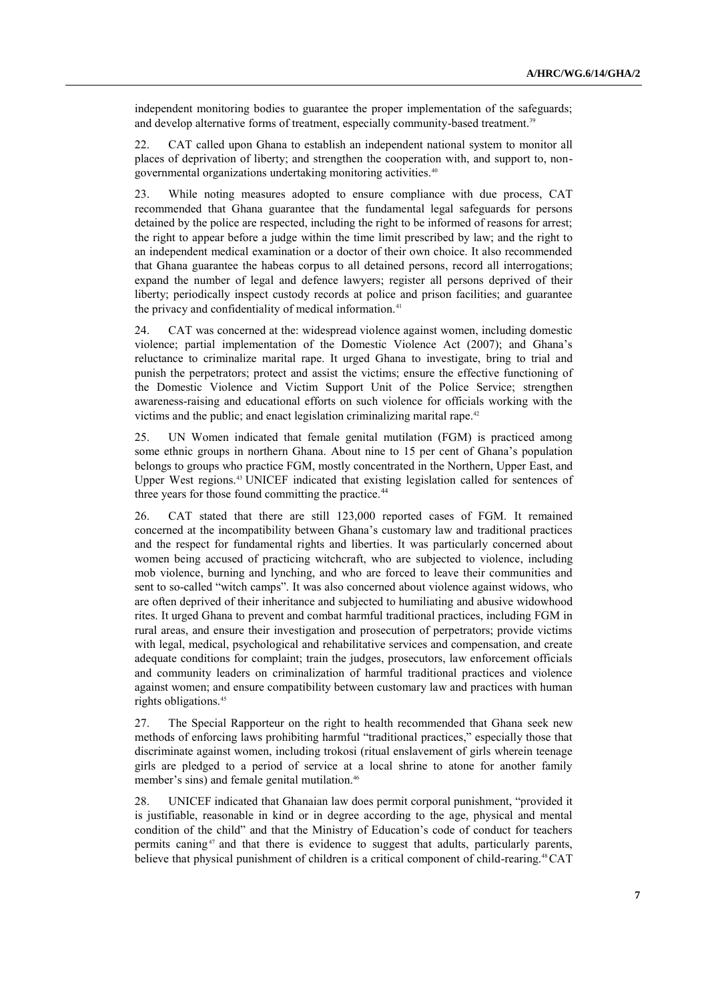independent monitoring bodies to guarantee the proper implementation of the safeguards; and develop alternative forms of treatment, especially community-based treatment.<sup>39</sup>

22. CAT called upon Ghana to establish an independent national system to monitor all places of deprivation of liberty; and strengthen the cooperation with, and support to, nongovernmental organizations undertaking monitoring activities.<sup>40</sup>

23. While noting measures adopted to ensure compliance with due process, CAT recommended that Ghana guarantee that the fundamental legal safeguards for persons detained by the police are respected, including the right to be informed of reasons for arrest; the right to appear before a judge within the time limit prescribed by law; and the right to an independent medical examination or a doctor of their own choice. It also recommended that Ghana guarantee the habeas corpus to all detained persons, record all interrogations; expand the number of legal and defence lawyers; register all persons deprived of their liberty; periodically inspect custody records at police and prison facilities; and guarantee the privacy and confidentiality of medical information.<sup>41</sup>

24. CAT was concerned at the: widespread violence against women, including domestic violence; partial implementation of the Domestic Violence Act (2007); and Ghana's reluctance to criminalize marital rape. It urged Ghana to investigate, bring to trial and punish the perpetrators; protect and assist the victims; ensure the effective functioning of the Domestic Violence and Victim Support Unit of the Police Service; strengthen awareness-raising and educational efforts on such violence for officials working with the victims and the public; and enact legislation criminalizing marital rape.<sup>42</sup>

25. UN Women indicated that female genital mutilation (FGM) is practiced among some ethnic groups in northern Ghana. About nine to 15 per cent of Ghana's population belongs to groups who practice FGM, mostly concentrated in the Northern, Upper East, and Upper West regions.<sup>43</sup> UNICEF indicated that existing legislation called for sentences of three years for those found committing the practice.<sup>44</sup>

26. CAT stated that there are still 123,000 reported cases of FGM. It remained concerned at the incompatibility between Ghana's customary law and traditional practices and the respect for fundamental rights and liberties. It was particularly concerned about women being accused of practicing witchcraft, who are subjected to violence, including mob violence, burning and lynching, and who are forced to leave their communities and sent to so-called "witch camps". It was also concerned about violence against widows, who are often deprived of their inheritance and subjected to humiliating and abusive widowhood rites. It urged Ghana to prevent and combat harmful traditional practices, including FGM in rural areas, and ensure their investigation and prosecution of perpetrators; provide victims with legal, medical, psychological and rehabilitative services and compensation, and create adequate conditions for complaint; train the judges, prosecutors, law enforcement officials and community leaders on criminalization of harmful traditional practices and violence against women; and ensure compatibility between customary law and practices with human rights obligations.<sup>45</sup>

27. The Special Rapporteur on the right to health recommended that Ghana seek new methods of enforcing laws prohibiting harmful "traditional practices," especially those that discriminate against women, including trokosi (ritual enslavement of girls wherein teenage girls are pledged to a period of service at a local shrine to atone for another family member's sins) and female genital mutilation.<sup>46</sup>

28. UNICEF indicated that Ghanaian law does permit corporal punishment, "provided it is justifiable, reasonable in kind or in degree according to the age, physical and mental condition of the child" and that the Ministry of Education's code of conduct for teachers permits caning<sup>47</sup> and that there is evidence to suggest that adults, particularly parents, believe that physical punishment of children is a critical component of child-rearing.<sup>48</sup>CAT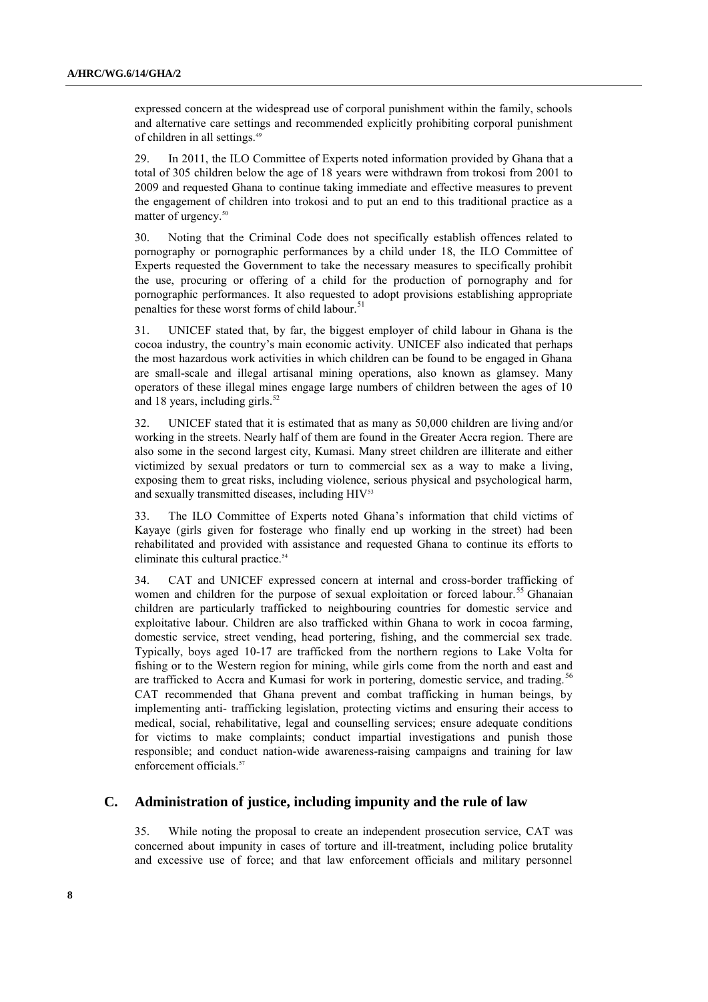expressed concern at the widespread use of corporal punishment within the family, schools and alternative care settings and recommended explicitly prohibiting corporal punishment of children in all settings.<sup>49</sup>

29. In 2011, the ILO Committee of Experts noted information provided by Ghana that a total of 305 children below the age of 18 years were withdrawn from trokosi from 2001 to 2009 and requested Ghana to continue taking immediate and effective measures to prevent the engagement of children into trokosi and to put an end to this traditional practice as a matter of urgency.<sup>50</sup>

30. Noting that the Criminal Code does not specifically establish offences related to pornography or pornographic performances by a child under 18, the ILO Committee of Experts requested the Government to take the necessary measures to specifically prohibit the use, procuring or offering of a child for the production of pornography and for pornographic performances. It also requested to adopt provisions establishing appropriate penalties for these worst forms of child labour.<sup>51</sup>

31. UNICEF stated that, by far, the biggest employer of child labour in Ghana is the cocoa industry, the country's main economic activity. UNICEF also indicated that perhaps the most hazardous work activities in which children can be found to be engaged in Ghana are small-scale and illegal artisanal mining operations, also known as glamsey. Many operators of these illegal mines engage large numbers of children between the ages of 10 and 18 years, including girls. $52$ 

32. UNICEF stated that it is estimated that as many as 50,000 children are living and/or working in the streets. Nearly half of them are found in the Greater Accra region. There are also some in the second largest city, Kumasi. Many street children are illiterate and either victimized by sexual predators or turn to commercial sex as a way to make a living, exposing them to great risks, including violence, serious physical and psychological harm, and sexually transmitted diseases, including HIV<sup>53</sup>

33. The ILO Committee of Experts noted Ghana's information that child victims of Kayaye (girls given for fosterage who finally end up working in the street) had been rehabilitated and provided with assistance and requested Ghana to continue its efforts to eliminate this cultural practice.<sup>54</sup>

34. CAT and UNICEF expressed concern at internal and cross-border trafficking of women and children for the purpose of sexual exploitation or forced labour.<sup>55</sup> Ghanaian children are particularly trafficked to neighbouring countries for domestic service and exploitative labour. Children are also trafficked within Ghana to work in cocoa farming, domestic service, street vending, head portering, fishing, and the commercial sex trade. Typically, boys aged 10-17 are trafficked from the northern regions to Lake Volta for fishing or to the Western region for mining, while girls come from the north and east and are trafficked to Accra and Kumasi for work in portering, domestic service, and trading.<sup>56</sup> CAT recommended that Ghana prevent and combat trafficking in human beings, by implementing anti- trafficking legislation, protecting victims and ensuring their access to medical, social, rehabilitative, legal and counselling services; ensure adequate conditions for victims to make complaints; conduct impartial investigations and punish those responsible; and conduct nation-wide awareness-raising campaigns and training for law enforcement officials<sup>57</sup>

#### **C. Administration of justice, including impunity and the rule of law**

35. While noting the proposal to create an independent prosecution service, CAT was concerned about impunity in cases of torture and ill-treatment, including police brutality and excessive use of force; and that law enforcement officials and military personnel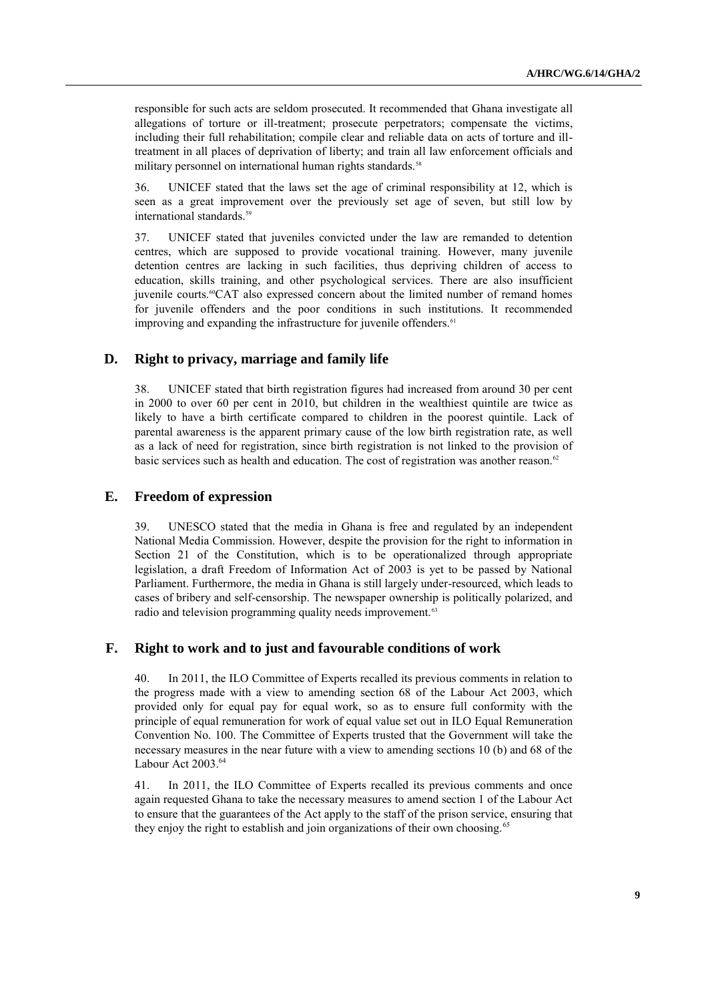responsible for such acts are seldom prosecuted. It recommended that Ghana investigate all allegations of torture or ill-treatment; prosecute perpetrators; compensate the victims, including their full rehabilitation; compile clear and reliable data on acts of torture and illtreatment in all places of deprivation of liberty; and train all law enforcement officials and military personnel on international human rights standards.<sup>58</sup>

36. UNICEF stated that the laws set the age of criminal responsibility at 12, which is seen as a great improvement over the previously set age of seven, but still low by international standards.<sup>59</sup>

37. UNICEF stated that juveniles convicted under the law are remanded to detention centres, which are supposed to provide vocational training. However, many juvenile detention centres are lacking in such facilities, thus depriving children of access to education, skills training, and other psychological services. There are also insufficient juvenile courts.60CAT also expressed concern about the limited number of remand homes for juvenile offenders and the poor conditions in such institutions. It recommended improving and expanding the infrastructure for juvenile offenders.<sup>61</sup>

### **D. Right to privacy, marriage and family life**

38. UNICEF stated that birth registration figures had increased from around 30 per cent in 2000 to over 60 per cent in 2010, but children in the wealthiest quintile are twice as likely to have a birth certificate compared to children in the poorest quintile. Lack of parental awareness is the apparent primary cause of the low birth registration rate, as well as a lack of need for registration, since birth registration is not linked to the provision of basic services such as health and education. The cost of registration was another reason.<sup>62</sup>

#### **E. Freedom of expression**

39. UNESCO stated that the media in Ghana is free and regulated by an independent National Media Commission. However, despite the provision for the right to information in Section 21 of the Constitution, which is to be operationalized through appropriate legislation, a draft Freedom of Information Act of 2003 is yet to be passed by National Parliament. Furthermore, the media in Ghana is still largely under-resourced, which leads to cases of bribery and self-censorship. The newspaper ownership is politically polarized, and radio and television programming quality needs improvement.<sup>63</sup>

#### **F. Right to work and to just and favourable conditions of work**

40. In 2011, the ILO Committee of Experts recalled its previous comments in relation to the progress made with a view to amending section 68 of the Labour Act 2003, which provided only for equal pay for equal work, so as to ensure full conformity with the principle of equal remuneration for work of equal value set out in ILO Equal Remuneration Convention No. 100. The Committee of Experts trusted that the Government will take the necessary measures in the near future with a view to amending sections 10 (b) and 68 of the Labour Act 2003.<sup>64</sup>

41. In 2011, the ILO Committee of Experts recalled its previous comments and once again requested Ghana to take the necessary measures to amend section 1 of the Labour Act to ensure that the guarantees of the Act apply to the staff of the prison service, ensuring that they enjoy the right to establish and join organizations of their own choosing.<sup>65</sup>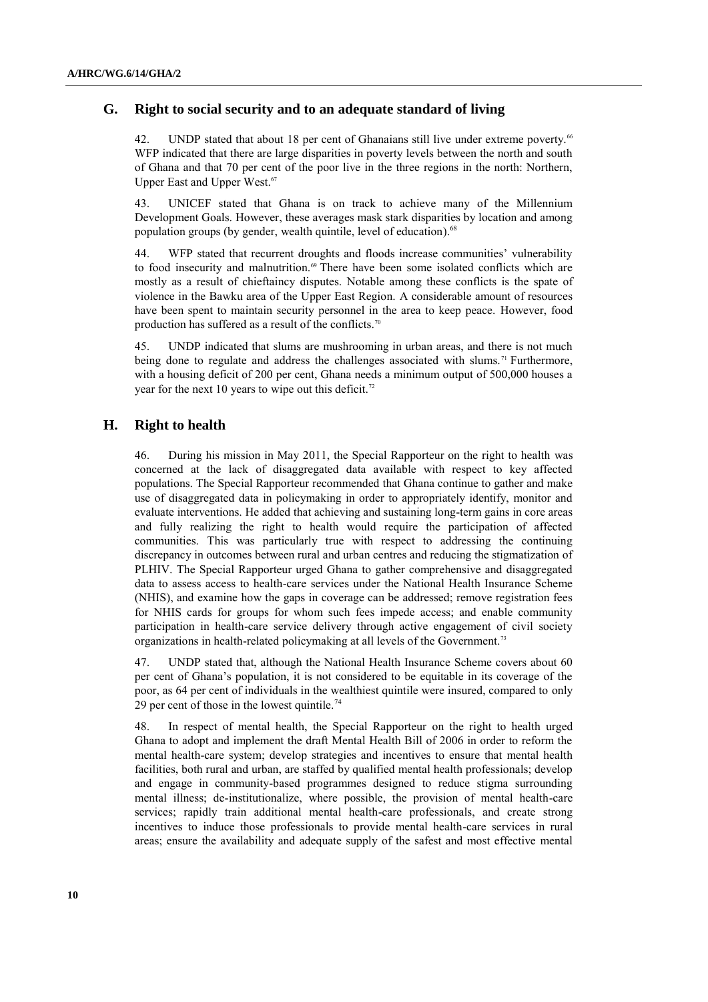### **G. Right to social security and to an adequate standard of living**

42. UNDP stated that about 18 per cent of Ghanaians still live under extreme poverty.<sup>66</sup> WFP indicated that there are large disparities in poverty levels between the north and south of Ghana and that 70 per cent of the poor live in the three regions in the north: Northern, Upper East and Upper West.<sup>67</sup>

43. UNICEF stated that Ghana is on track to achieve many of the Millennium Development Goals. However, these averages mask stark disparities by location and among population groups (by gender, wealth quintile, level of education).<sup>68</sup>

44. WFP stated that recurrent droughts and floods increase communities' vulnerability to food insecurity and malnutrition.<sup>69</sup> There have been some isolated conflicts which are mostly as a result of chieftaincy disputes. Notable among these conflicts is the spate of violence in the Bawku area of the Upper East Region. A considerable amount of resources have been spent to maintain security personnel in the area to keep peace. However, food production has suffered as a result of the conflicts.<sup>70</sup>

45. UNDP indicated that slums are mushrooming in urban areas, and there is not much being done to regulate and address the challenges associated with slums.<sup>71</sup> Furthermore, with a housing deficit of 200 per cent, Ghana needs a minimum output of 500,000 houses a year for the next 10 years to wipe out this deficit.<sup>72</sup>

## **H. Right to health**

46. During his mission in May 2011, the Special Rapporteur on the right to health was concerned at the lack of disaggregated data available with respect to key affected populations. The Special Rapporteur recommended that Ghana continue to gather and make use of disaggregated data in policymaking in order to appropriately identify, monitor and evaluate interventions. He added that achieving and sustaining long-term gains in core areas and fully realizing the right to health would require the participation of affected communities. This was particularly true with respect to addressing the continuing discrepancy in outcomes between rural and urban centres and reducing the stigmatization of PLHIV. The Special Rapporteur urged Ghana to gather comprehensive and disaggregated data to assess access to health-care services under the National Health Insurance Scheme (NHIS), and examine how the gaps in coverage can be addressed; remove registration fees for NHIS cards for groups for whom such fees impede access; and enable community participation in health-care service delivery through active engagement of civil society organizations in health-related policymaking at all levels of the Government.<sup>73</sup>

47. UNDP stated that, although the National Health Insurance Scheme covers about 60 per cent of Ghana's population, it is not considered to be equitable in its coverage of the poor, as 64 per cent of individuals in the wealthiest quintile were insured, compared to only 29 per cent of those in the lowest quintile.<sup>74</sup>

48. In respect of mental health, the Special Rapporteur on the right to health urged Ghana to adopt and implement the draft Mental Health Bill of 2006 in order to reform the mental health-care system; develop strategies and incentives to ensure that mental health facilities, both rural and urban, are staffed by qualified mental health professionals; develop and engage in community-based programmes designed to reduce stigma surrounding mental illness; de-institutionalize, where possible, the provision of mental health-care services; rapidly train additional mental health-care professionals, and create strong incentives to induce those professionals to provide mental health-care services in rural areas; ensure the availability and adequate supply of the safest and most effective mental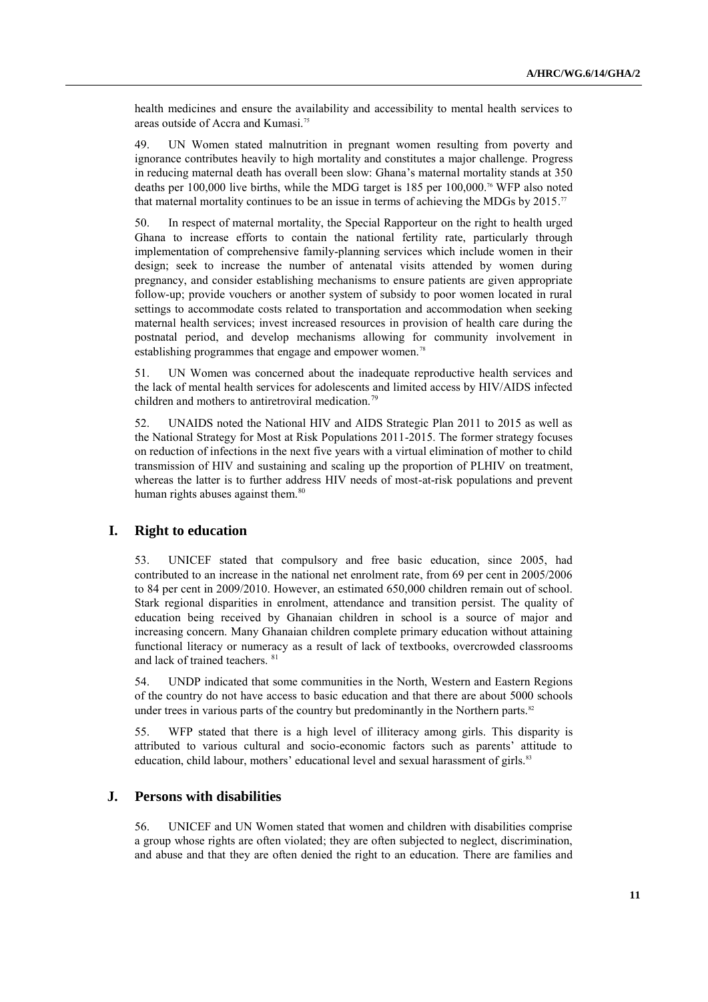health medicines and ensure the availability and accessibility to mental health services to areas outside of Accra and Kumasi.<sup>75</sup>

49. UN Women stated malnutrition in pregnant women resulting from poverty and ignorance contributes heavily to high mortality and constitutes a major challenge. Progress in reducing maternal death has overall been slow: Ghana's maternal mortality stands at 350 deaths per 100,000 live births, while the MDG target is 185 per 100,000.<sup>76</sup> WFP also noted that maternal mortality continues to be an issue in terms of achieving the MDGs by 2015.<sup>77</sup>

50. In respect of maternal mortality, the Special Rapporteur on the right to health urged Ghana to increase efforts to contain the national fertility rate, particularly through implementation of comprehensive family-planning services which include women in their design; seek to increase the number of antenatal visits attended by women during pregnancy, and consider establishing mechanisms to ensure patients are given appropriate follow-up; provide vouchers or another system of subsidy to poor women located in rural settings to accommodate costs related to transportation and accommodation when seeking maternal health services; invest increased resources in provision of health care during the postnatal period, and develop mechanisms allowing for community involvement in establishing programmes that engage and empower women.<sup>78</sup>

51. UN Women was concerned about the inadequate reproductive health services and the lack of mental health services for adolescents and limited access by HIV/AIDS infected children and mothers to antiretroviral medication.<sup>79</sup>

52. UNAIDS noted the National HIV and AIDS Strategic Plan 2011 to 2015 as well as the National Strategy for Most at Risk Populations 2011-2015. The former strategy focuses on reduction of infections in the next five years with a virtual elimination of mother to child transmission of HIV and sustaining and scaling up the proportion of PLHIV on treatment, whereas the latter is to further address HIV needs of most-at-risk populations and prevent human rights abuses against them.<sup>80</sup>

#### **I. Right to education**

53. UNICEF stated that compulsory and free basic education, since 2005, had contributed to an increase in the national net enrolment rate, from 69 per cent in 2005/2006 to 84 per cent in 2009/2010. However, an estimated 650,000 children remain out of school. Stark regional disparities in enrolment, attendance and transition persist. The quality of education being received by Ghanaian children in school is a source of major and increasing concern. Many Ghanaian children complete primary education without attaining functional literacy or numeracy as a result of lack of textbooks, overcrowded classrooms and lack of trained teachers. <sup>81</sup>

54. UNDP indicated that some communities in the North, Western and Eastern Regions of the country do not have access to basic education and that there are about 5000 schools under trees in various parts of the country but predominantly in the Northern parts.<sup>82</sup>

55. WFP stated that there is a high level of illiteracy among girls. This disparity is attributed to various cultural and socio-economic factors such as parents' attitude to education, child labour, mothers' educational level and sexual harassment of girls.<sup>83</sup>

#### **J. Persons with disabilities**

56. UNICEF and UN Women stated that women and children with disabilities comprise a group whose rights are often violated; they are often subjected to neglect, discrimination, and abuse and that they are often denied the right to an education. There are families and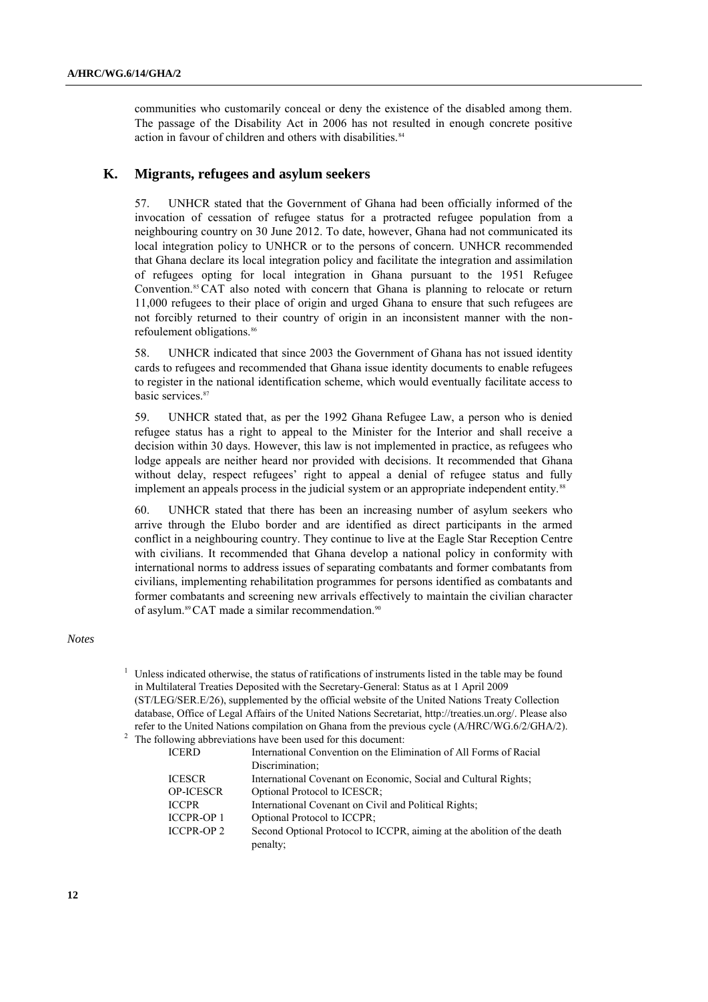communities who customarily conceal or deny the existence of the disabled among them. The passage of the Disability Act in 2006 has not resulted in enough concrete positive action in favour of children and others with disabilities.<sup>84</sup>

#### **K. Migrants, refugees and asylum seekers**

57. UNHCR stated that the Government of Ghana had been officially informed of the invocation of cessation of refugee status for a protracted refugee population from a neighbouring country on 30 June 2012. To date, however, Ghana had not communicated its local integration policy to UNHCR or to the persons of concern. UNHCR recommended that Ghana declare its local integration policy and facilitate the integration and assimilation of refugees opting for local integration in Ghana pursuant to the 1951 Refugee Convention.<sup>85</sup> CAT also noted with concern that Ghana is planning to relocate or return 11,000 refugees to their place of origin and urged Ghana to ensure that such refugees are not forcibly returned to their country of origin in an inconsistent manner with the nonrefoulement obligations.<sup>86</sup>

58. UNHCR indicated that since 2003 the Government of Ghana has not issued identity cards to refugees and recommended that Ghana issue identity documents to enable refugees to register in the national identification scheme, which would eventually facilitate access to basic services.<sup>87</sup>

59. UNHCR stated that, as per the 1992 Ghana Refugee Law, a person who is denied refugee status has a right to appeal to the Minister for the Interior and shall receive a decision within 30 days. However, this law is not implemented in practice, as refugees who lodge appeals are neither heard nor provided with decisions. It recommended that Ghana without delay, respect refugees' right to appeal a denial of refugee status and fully implement an appeals process in the judicial system or an appropriate independent entity.<sup>88</sup>

60. UNHCR stated that there has been an increasing number of asylum seekers who arrive through the Elubo border and are identified as direct participants in the armed conflict in a neighbouring country. They continue to live at the Eagle Star Reception Centre with civilians. It recommended that Ghana develop a national policy in conformity with international norms to address issues of separating combatants and former combatants from civilians, implementing rehabilitation programmes for persons identified as combatants and former combatants and screening new arrivals effectively to maintain the civilian character of asylum.<sup>89</sup>CAT made a similar recommendation.<sup>90</sup>

#### *Notes*

 $1$  Unless indicated otherwise, the status of ratifications of instruments listed in the table may be found in Multilateral Treaties Deposited with the Secretary-General: Status as at 1 April 2009 (ST/LEG/SER.E/26), supplemented by the official website of the United Nations Treaty Collection database, Office of Legal Affairs of the United Nations Secretariat, [http://treaties.un.org/.](http://treaties.un.org/) Please also refer to the United Nations compilation on Ghana from the previous cycle (A/HRC/WG.6/2/GHA/2). <sup>2</sup> The following abbreviations have been used for this document:

| <b>ICERD</b>      | International Convention on the Elimination of All Forms of Racial      |
|-------------------|-------------------------------------------------------------------------|
|                   | Discrimination:                                                         |
| <b>ICESCR</b>     | International Covenant on Economic, Social and Cultural Rights;         |
| <b>OP-ICESCR</b>  | Optional Protocol to ICESCR;                                            |
| <b>ICCPR</b>      | International Covenant on Civil and Political Rights;                   |
| <b>ICCPR-OP1</b>  | Optional Protocol to ICCPR;                                             |
| <b>ICCPR-OP 2</b> | Second Optional Protocol to ICCPR, aiming at the abolition of the death |
|                   | penalty;                                                                |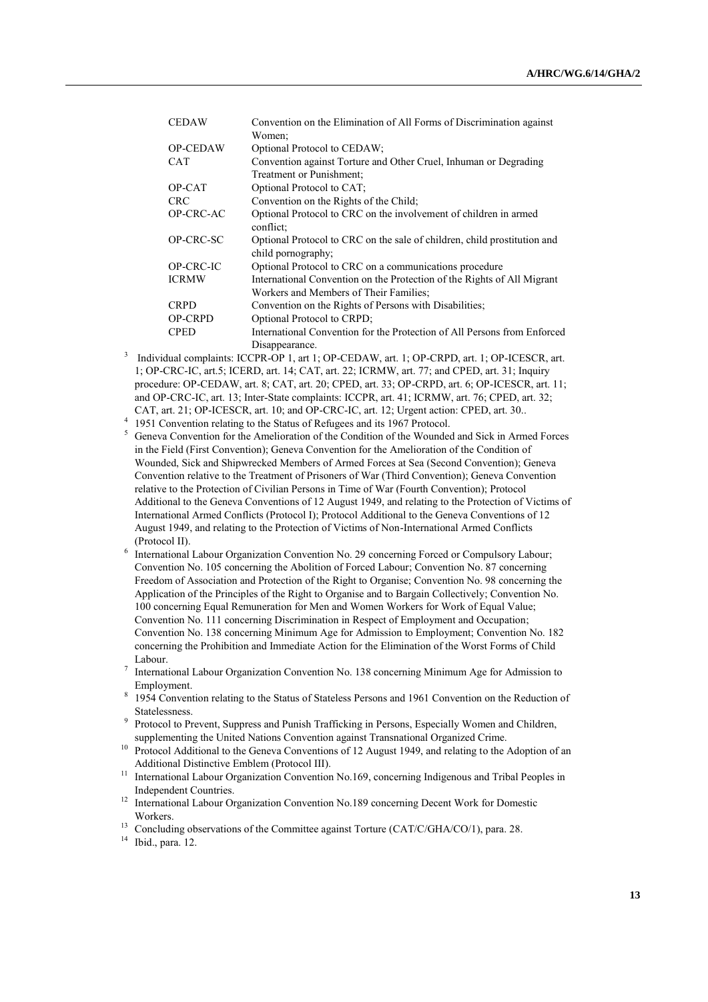| <b>CEDAW</b>    | Convention on the Elimination of All Forms of Discrimination against                           |
|-----------------|------------------------------------------------------------------------------------------------|
|                 | Women:                                                                                         |
| <b>OP-CEDAW</b> | Optional Protocol to CEDAW;                                                                    |
| <b>CAT</b>      | Convention against Torture and Other Cruel, Inhuman or Degrading                               |
|                 | Treatment or Punishment:                                                                       |
| OP-CAT          | Optional Protocol to CAT;                                                                      |
| <b>CRC</b>      | Convention on the Rights of the Child;                                                         |
| OP-CRC-AC       | Optional Protocol to CRC on the involvement of children in armed<br>conflict:                  |
| OP-CRC-SC       | Optional Protocol to CRC on the sale of children, child prostitution and<br>child pornography; |
| OP-CRC-IC       | Optional Protocol to CRC on a communications procedure                                         |
| <b>ICRMW</b>    | International Convention on the Protection of the Rights of All Migrant                        |
|                 | Workers and Members of Their Families;                                                         |
| <b>CRPD</b>     | Convention on the Rights of Persons with Disabilities;                                         |
| <b>OP-CRPD</b>  | Optional Protocol to CRPD;                                                                     |
| <b>CPED</b>     | International Convention for the Protection of All Persons from Enforced                       |
|                 | Disappearance.                                                                                 |

- 3 Individual complaints: ICCPR-OP 1, art 1; OP-CEDAW, art. 1; OP-CRPD, art. 1; OP-ICESCR, art. 1; OP-CRC-IC, art.5; ICERD, art. 14; CAT, art. 22; ICRMW, art. 77; and CPED, art. 31; Inquiry procedure: OP-CEDAW, art. 8; CAT, art. 20; CPED, art. 33; OP-CRPD, art. 6; OP-ICESCR, art. 11; and OP-CRC-IC, art. 13; Inter-State complaints: ICCPR, art. 41; ICRMW, art. 76; CPED, art. 32; CAT, art. 21; OP-ICESCR, art. 10; and OP-CRC-IC, art. 12; Urgent action: CPED, art. 30..
- <sup>4</sup> 1951 Convention relating to the Status of Refugees and its 1967 Protocol.
- <sup>5</sup> Geneva Convention for the Amelioration of the Condition of the Wounded and Sick in Armed Forces in the Field (First Convention); Geneva Convention for the Amelioration of the Condition of Wounded, Sick and Shipwrecked Members of Armed Forces at Sea (Second Convention); Geneva Convention relative to the Treatment of Prisoners of War (Third Convention); Geneva Convention relative to the Protection of Civilian Persons in Time of War (Fourth Convention); Protocol Additional to the Geneva Conventions of 12 August 1949, and relating to the Protection of Victims of International Armed Conflicts (Protocol I); Protocol Additional to the Geneva Conventions of 12 August 1949, and relating to the Protection of Victims of Non-International Armed Conflicts (Protocol II).
- <sup>6</sup> International Labour Organization Convention No. 29 concerning Forced or Compulsory Labour; Convention No. 105 concerning the Abolition of Forced Labour; Convention No. 87 concerning Freedom of Association and Protection of the Right to Organise; Convention No. 98 concerning the Application of the Principles of the Right to Organise and to Bargain Collectively; Convention No. 100 concerning Equal Remuneration for Men and Women Workers for Work of Equal Value; Convention No. 111 concerning Discrimination in Respect of Employment and Occupation; Convention No. 138 concerning Minimum Age for Admission to Employment; Convention No. 182 concerning the Prohibition and Immediate Action for the Elimination of the Worst Forms of Child Labour.
- 7 International Labour Organization Convention No. 138 concerning Minimum Age for Admission to Employment.
- 8 1954 Convention relating to the Status of Stateless Persons and 1961 Convention on the Reduction of Statelessness.
- <sup>9</sup> Protocol to Prevent, Suppress and Punish Trafficking in Persons, Especially Women and Children, supplementing the United Nations Convention against Transnational Organized Crime.
- <sup>10</sup> Protocol Additional to the Geneva Conventions of 12 August 1949, and relating to the Adoption of an Additional Distinctive Emblem (Protocol III).
- <sup>11</sup> International Labour Organization Convention No.169, concerning Indigenous and Tribal Peoples in Independent Countries.
- <sup>12</sup> International Labour Organization Convention No.189 concerning Decent Work for Domestic Workers.
- <sup>13</sup> Concluding observations of the Committee against Torture (CAT/C/GHA/CO/1), para. 28.
- <sup>14</sup> Ibid., para. 12.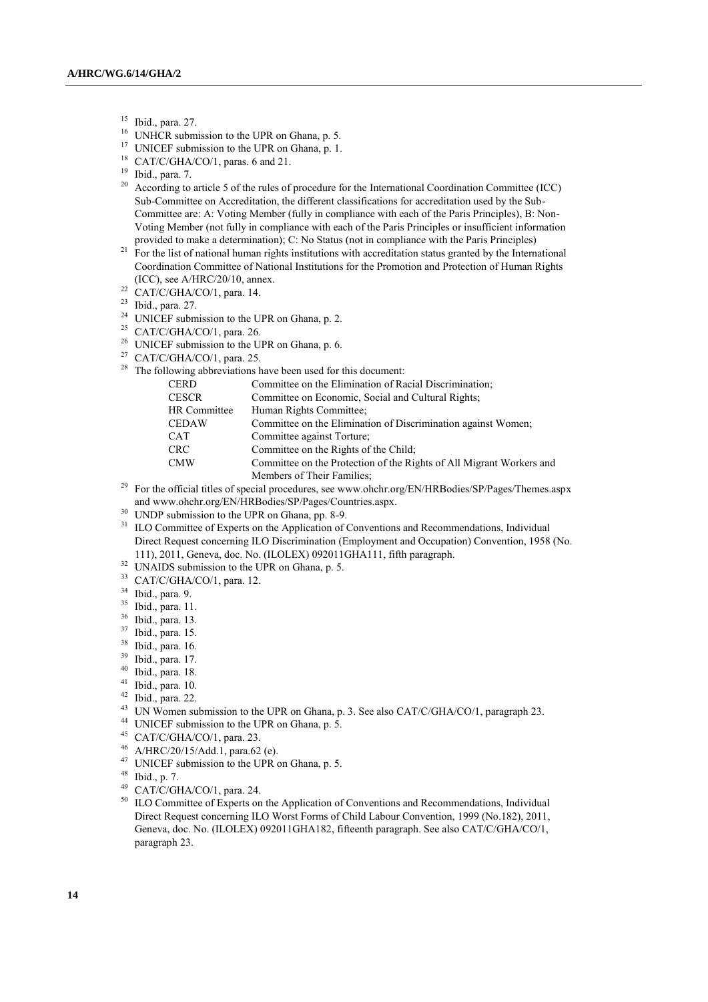- $^{15}$  Ibid., para. 27.
- UNHCR submission to the UPR on Ghana, p. 5.
- <sup>17</sup> UNICEF submission to the UPR on Ghana, p. 1.
- <sup>18</sup> CAT/C/GHA/CO/1, paras. 6 and 21.
- <sup>19</sup> Ibid., para. 7.
- <sup>20</sup> According to article 5 of the rules of procedure for the International Coordination Committee (ICC) Sub-Committee on Accreditation, the different classifications for accreditation used by the Sub-Committee are: A: Voting Member (fully in compliance with each of the Paris Principles), B: Non-Voting Member (not fully in compliance with each of the Paris Principles or insufficient information provided to make a determination); C: No Status (not in compliance with the Paris Principles)
- $21 F$  For the list of national human rights institutions with accreditation status granted by the International Coordination Committee of National Institutions for the Promotion and Protection of Human Rights (ICC), see A/HRC/20/10, annex.
- $22$  CAT/C/GHA/CO/1, para. 14.
- <sup>23</sup> Ibid., para. 27.
- <sup>24</sup> UNICEF submission to the UPR on Ghana, p. 2.
- <sup>25</sup> CAT/C/GHA/CO/1, para. 26.
- <sup>26</sup> UNICEF submission to the UPR on Ghana, p. 6.
- <sup>27</sup> CAT/C/GHA/CO/1, para. 25.
- <sup>28</sup> The following abbreviations have been used for this document:

| <b>CERD</b>  | Committee on the Elimination of Racial Discrimination.               |
|--------------|----------------------------------------------------------------------|
| <b>CESCR</b> | Committee on Economic, Social and Cultural Rights;                   |
| HR Committee | Human Rights Committee:                                              |
| <b>CEDAW</b> | Committee on the Elimination of Discrimination against Women;        |
| <b>CAT</b>   | Committee against Torture;                                           |
| <b>CRC</b>   | Committee on the Rights of the Child:                                |
| <b>CMW</b>   | Committee on the Protection of the Rights of All Migrant Workers and |
|              | Members of Their Families;                                           |

- <sup>29</sup> For the official titles of special procedures, see www.ohchr.org/EN/HRBodies/SP/Pages/Themes.aspx an[d www.ohchr.org/EN/HRBodies/SP/Pages/Countries.aspx.](https://iconnect.ohchr.org/EN/HRBodies/SP/Pages/,DanaInfo=www.ohchr.org+Countries.aspx)
- <sup>30</sup> UNDP submission to the UPR on Ghana, pp. 8-9.
- <sup>31</sup> ILO Committee of Experts on the Application of Conventions and Recommendations, Individual Direct Request concerning ILO Discrimination (Employment and Occupation) Convention, 1958 (No. 111), 2011, Geneva, doc. No. (ILOLEX) 092011GHA111, fifth paragraph.
- <sup>32</sup> UNAIDS submission to the UPR on Ghana, p. 5.
- <sup>33</sup> CAT/C/GHA/CO/1, para. 12.
- <sup>34</sup> Ibid., para. 9.
- <sup>35</sup> Ibid., para. 11.
- <sup>36</sup> Ibid., para. 13.
- $\frac{37}{38}$  Ibid., para. 15.
- $\frac{38}{39}$  Ibid., para. 16.
- 
- $\frac{39}{40}$  Ibid., para. 17.
- $^{40}$  Ibid., para. 18.
- $^{41}$  Ibid., para. 10. Ibid., para. 22.
- <sup>43</sup> UN Women submission to the UPR on Ghana, p. 3. See also CAT/C/GHA/CO/1, paragraph 23.
- <sup>44</sup> UNICEF submission to the UPR on Ghana, p. 5.<br><sup>45</sup> CAT/C/CHA/CO/1 para 23
- <sup>45</sup> CAT/C/GHA/CO/1, para. 23.<br><sup>46</sup> A/HRC/20/15/Add 1, para. 62
- A/HRC/20/15/Add.1, para.62 (e).
- <sup>47</sup> UNICEF submission to the UPR on Ghana, p. 5.<br><sup>48</sup> Ibid. p. 7
- $^{48}$  Ibid., p. 7.<br><sup>49</sup> CAT/C/GI
- $^{49}$  CAT/C/GHA/CO/1, para. 24.
- <sup>50</sup> ILO Committee of Experts on the Application of Conventions and Recommendations, Individual Direct Request concerning ILO Worst Forms of Child Labour Convention, 1999 (No.182), 2011, Geneva, doc. No. (ILOLEX) 092011GHA182, fifteenth paragraph. See also CAT/C/GHA/CO/1, paragraph 23.